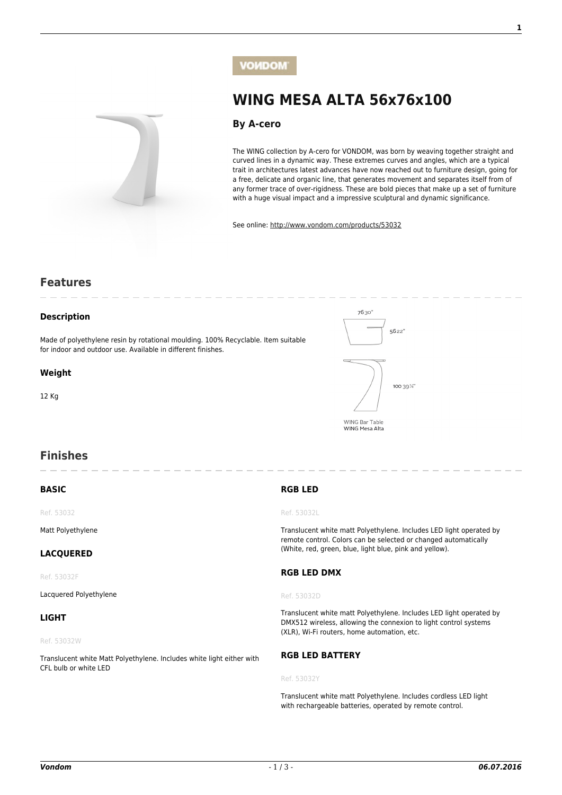

# **VOMDOM**

**[WING MESA ALTA 56x76x100](http://www.vondom.com/products/?product=53032)**

# **[By A-cero](http://www.vondom.com/designers/a-cero/)**

The WING collection by A-cero for VONDOM, was born by weaving together straight and curved lines in a dynamic way. These extremes curves and angles, which are a typical trait in architectures latest advances have now reached out to furniture design, going for a free, delicate and organic line, that generates movement and separates itself from of any former trace of over-rigidness. These are bold pieces that make up a set of furniture with a huge visual impact and a impressive sculptural and dynamic significance.

See online: [http://www.vondom.com/products/53032](http://www.vondom.com/products/?product=53032)

# **Features**

## **Description**

Made of polyethylene resin by rotational moulding. 100% Recyclable. Item suitable for indoor and outdoor use. Available in different finishes.

#### **Weight**

12 Kg



# **Finishes**

# **BASIC**

Ref. 53032

Matt Polyethylene

## **LACQUERED**

Ref. 53032F

Lacquered Polyethylene

## **LIGHT**

Ref. 53032W

Translucent white Matt Polyethylene. Includes white light either with CFL bulb or white LED

# **RGB LED**

#### Ref. 53032L

Translucent white matt Polyethylene. Includes LED light operated by remote control. Colors can be selected or changed automatically (White, red, green, blue, light blue, pink and yellow).

#### **RGB LED DMX**

#### Ref. 53032D

Translucent white matt Polyethylene. Includes LED light operated by DMX512 wireless, allowing the connexion to light control systems (XLR), Wi-Fi routers, home automation, etc.

# **RGB LED BATTERY**

#### Ref. 53032Y

Translucent white matt Polyethylene. Includes cordless LED light with rechargeable batteries, operated by remote control.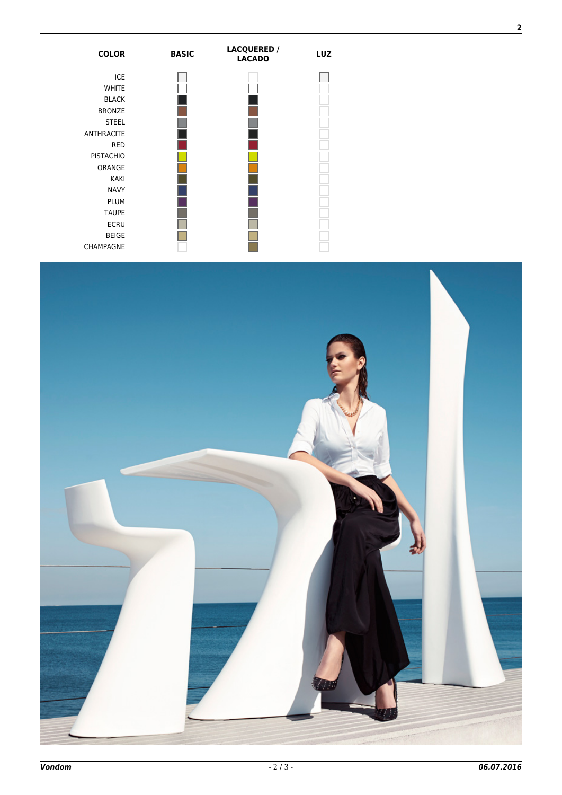